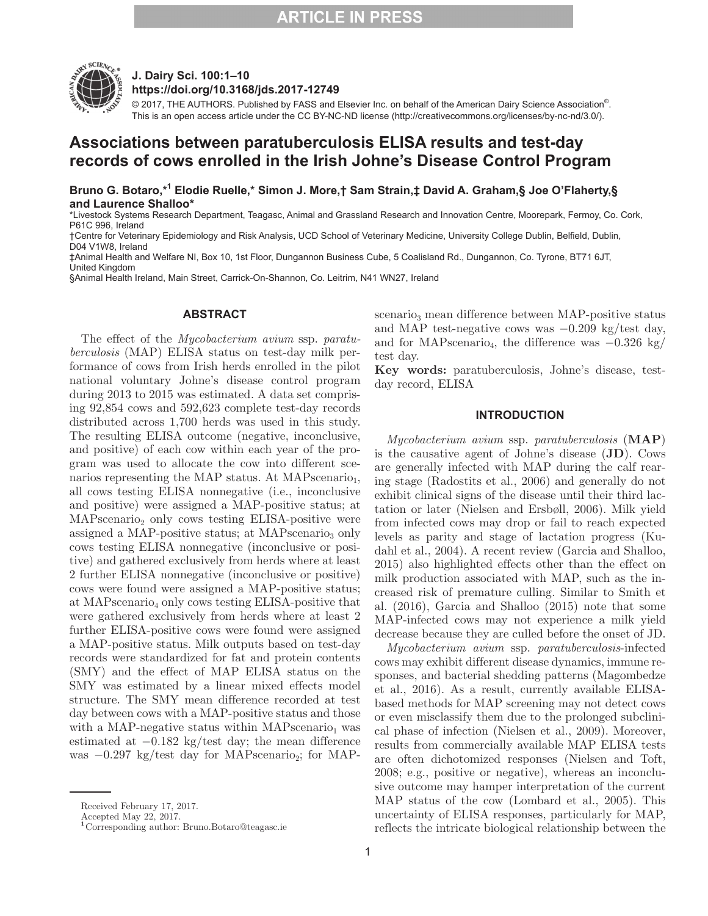

## **J. Dairy Sci. 100:1–10 https://doi.org/10.3168/jds.2017-12749**

© 2017, THE AUTHORS. Published by FASS and Elsevier Inc. on behalf of the American Dairy Science Association®. This is an open access article under the CC BY-NC-ND license (http://creativecommons.org/licenses/by-nc-nd/3.0/).

## **Associations between paratuberculosis ELISA results and test-day records of cows enrolled in the Irish Johne's Disease Control Program**

**Bruno G. Botaro,\*1 Elodie Ruelle,\* Simon J. More,† Sam Strain,‡ David A. Graham,§ Joe O'Flaherty,§ and Laurence Shalloo\***

\*Livestock Systems Research Department, Teagasc, Animal and Grassland Research and Innovation Centre, Moorepark, Fermoy, Co. Cork, P61C 996, Ireland

†Centre for Veterinary Epidemiology and Risk Analysis, UCD School of Veterinary Medicine, University College Dublin, Belfield, Dublin, D04 V1W8, Ireland

‡Animal Health and Welfare NI, Box 10, 1st Floor, Dungannon Business Cube, 5 Coalisland Rd., Dungannon, Co. Tyrone, BT71 6JT, United Kingdom

§Animal Health Ireland, Main Street, Carrick-On-Shannon, Co. Leitrim, N41 WN27, Ireland

### **ABSTRACT**

The effect of the *Mycobacterium avium* ssp. *paratuberculosis* (MAP) ELISA status on test-day milk performance of cows from Irish herds enrolled in the pilot national voluntary Johne's disease control program during 2013 to 2015 was estimated. A data set comprising 92,854 cows and 592,623 complete test-day records distributed across 1,700 herds was used in this study. The resulting ELISA outcome (negative, inconclusive, and positive) of each cow within each year of the program was used to allocate the cow into different scenarios representing the MAP status. At MAP scenario<sub>1</sub>, all cows testing ELISA nonnegative (i.e., inconclusive and positive) were assigned a MAP-positive status; at  $MAP scenario<sub>2</sub>$  only cows testing ELISA-positive were assigned a MAP-positive status; at MAP scenario<sub>3</sub> only cows testing ELISA nonnegative (inconclusive or positive) and gathered exclusively from herds where at least 2 further ELISA nonnegative (inconclusive or positive) cows were found were assigned a MAP-positive status; at MAPscenario<sub>4</sub> only cows testing ELISA-positive that were gathered exclusively from herds where at least 2 further ELISA-positive cows were found were assigned a MAP-positive status. Milk outputs based on test-day records were standardized for fat and protein contents (SMY) and the effect of MAP ELISA status on the SMY was estimated by a linear mixed effects model structure. The SMY mean difference recorded at test day between cows with a MAP-positive status and those with a MAP-negative status within MAPscenario<sub>1</sub> was estimated at −0.182 kg/test day; the mean difference was  $-0.297$  kg/test day for MAPscenario<sub>2</sub>; for MAP- scenario<sub>3</sub> mean difference between MAP-positive status and MAP test-negative cows was  $-0.209$  kg/test day, and for MAPscenario<sub>4</sub>, the difference was  $-0.326 \text{ kg}/$ test day.

**Key words:** paratuberculosis, Johne's disease, testday record, ELISA

#### **INTRODUCTION**

*Mycobacterium avium* ssp. *paratuberculosis* (**MAP**) is the causative agent of Johne's disease (**JD**). Cows are generally infected with MAP during the calf rearing stage (Radostits et al., 2006) and generally do not exhibit clinical signs of the disease until their third lactation or later (Nielsen and Ersbøll, 2006). Milk yield from infected cows may drop or fail to reach expected levels as parity and stage of lactation progress (Kudahl et al., 2004). A recent review (Garcia and Shalloo, 2015) also highlighted effects other than the effect on milk production associated with MAP, such as the increased risk of premature culling. Similar to Smith et al. (2016), Garcia and Shalloo (2015) note that some MAP-infected cows may not experience a milk yield decrease because they are culled before the onset of JD.

*Mycobacterium avium* ssp. *paratuberculosis*-infected cows may exhibit different disease dynamics, immune responses, and bacterial shedding patterns (Magombedze et al., 2016). As a result, currently available ELISAbased methods for MAP screening may not detect cows or even misclassify them due to the prolonged subclinical phase of infection (Nielsen et al., 2009). Moreover, results from commercially available MAP ELISA tests are often dichotomized responses (Nielsen and Toft, 2008; e.g., positive or negative), whereas an inconclusive outcome may hamper interpretation of the current MAP status of the cow (Lombard et al., 2005). This uncertainty of ELISA responses, particularly for MAP, reflects the intricate biological relationship between the

Received February 17, 2017.

Accepted May 22, 2017.

**<sup>1</sup>**Corresponding author: Bruno.Botaro@teagasc.ie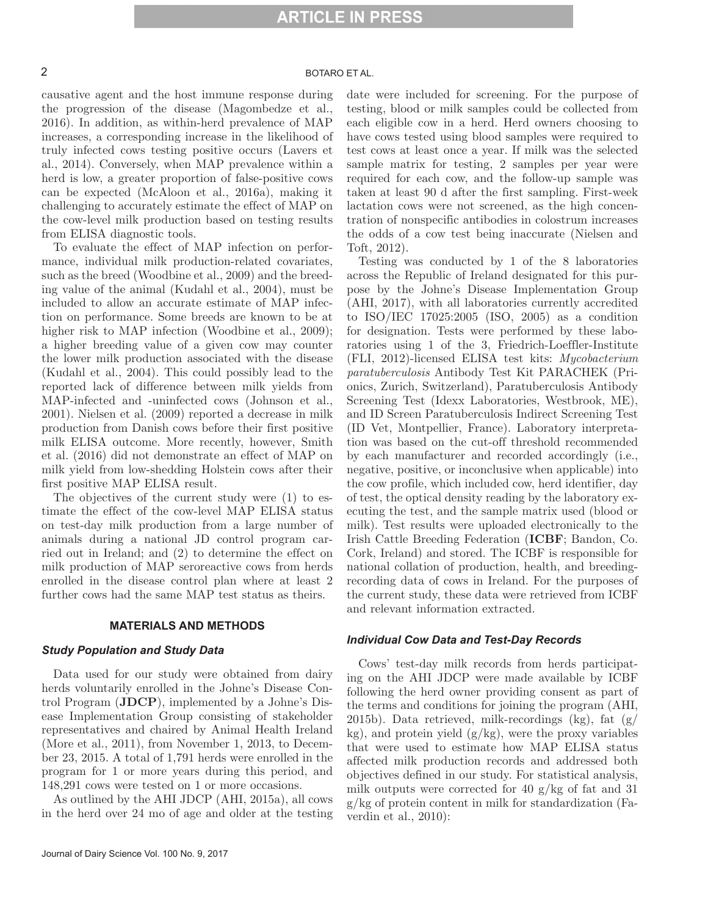### 2 BOTARO ET AL.

causative agent and the host immune response during the progression of the disease (Magombedze et al., 2016). In addition, as within-herd prevalence of MAP increases, a corresponding increase in the likelihood of truly infected cows testing positive occurs (Lavers et al., 2014). Conversely, when MAP prevalence within a herd is low, a greater proportion of false-positive cows can be expected (McAloon et al., 2016a), making it challenging to accurately estimate the effect of MAP on the cow-level milk production based on testing results from ELISA diagnostic tools.

To evaluate the effect of MAP infection on performance, individual milk production-related covariates, such as the breed (Woodbine et al., 2009) and the breeding value of the animal (Kudahl et al., 2004), must be included to allow an accurate estimate of MAP infection on performance. Some breeds are known to be at higher risk to MAP infection (Woodbine et al., 2009); a higher breeding value of a given cow may counter the lower milk production associated with the disease (Kudahl et al., 2004). This could possibly lead to the reported lack of difference between milk yields from MAP-infected and -uninfected cows (Johnson et al., 2001). Nielsen et al. (2009) reported a decrease in milk production from Danish cows before their first positive milk ELISA outcome. More recently, however, Smith et al. (2016) did not demonstrate an effect of MAP on milk yield from low-shedding Holstein cows after their first positive MAP ELISA result.

The objectives of the current study were (1) to estimate the effect of the cow-level MAP ELISA status on test-day milk production from a large number of animals during a national JD control program carried out in Ireland; and (2) to determine the effect on milk production of MAP seroreactive cows from herds enrolled in the disease control plan where at least 2 further cows had the same MAP test status as theirs.

#### **MATERIALS AND METHODS**

#### *Study Population and Study Data*

Data used for our study were obtained from dairy herds voluntarily enrolled in the Johne's Disease Control Program (**JDCP**), implemented by a Johne's Disease Implementation Group consisting of stakeholder representatives and chaired by Animal Health Ireland (More et al., 2011), from November 1, 2013, to December 23, 2015. A total of 1,791 herds were enrolled in the program for 1 or more years during this period, and 148,291 cows were tested on 1 or more occasions.

As outlined by the AHI JDCP (AHI, 2015a), all cows in the herd over 24 mo of age and older at the testing date were included for screening. For the purpose of testing, blood or milk samples could be collected from each eligible cow in a herd. Herd owners choosing to have cows tested using blood samples were required to test cows at least once a year. If milk was the selected sample matrix for testing, 2 samples per year were required for each cow, and the follow-up sample was taken at least 90 d after the first sampling. First-week lactation cows were not screened, as the high concentration of nonspecific antibodies in colostrum increases the odds of a cow test being inaccurate (Nielsen and Toft, 2012).

Testing was conducted by 1 of the 8 laboratories across the Republic of Ireland designated for this purpose by the Johne's Disease Implementation Group (AHI, 2017), with all laboratories currently accredited to ISO/IEC 17025:2005 (ISO, 2005) as a condition for designation. Tests were performed by these laboratories using 1 of the 3, Friedrich-Loeffler-Institute (FLI, 2012)-licensed ELISA test kits: *Mycobacterium paratuberculosis* Antibody Test Kit PARACHEK (Prionics, Zurich, Switzerland), Paratuberculosis Antibody Screening Test (Idexx Laboratories, Westbrook, ME), and ID Screen Paratuberculosis Indirect Screening Test (ID Vet, Montpellier, France). Laboratory interpretation was based on the cut-off threshold recommended by each manufacturer and recorded accordingly (i.e., negative, positive, or inconclusive when applicable) into the cow profile, which included cow, herd identifier, day of test, the optical density reading by the laboratory executing the test, and the sample matrix used (blood or milk). Test results were uploaded electronically to the Irish Cattle Breeding Federation (**ICBF**; Bandon, Co. Cork, Ireland) and stored. The ICBF is responsible for national collation of production, health, and breedingrecording data of cows in Ireland. For the purposes of the current study, these data were retrieved from ICBF and relevant information extracted.

#### *Individual Cow Data and Test-Day Records*

Cows' test-day milk records from herds participating on the AHI JDCP were made available by ICBF following the herd owner providing consent as part of the terms and conditions for joining the program (AHI, 2015b). Data retrieved, milk-recordings (kg), fat (g/  $kg$ ), and protein yield  $(g/kg)$ , were the proxy variables that were used to estimate how MAP ELISA status affected milk production records and addressed both objectives defined in our study. For statistical analysis, milk outputs were corrected for 40 g/kg of fat and 31 g/kg of protein content in milk for standardization (Faverdin et al., 2010):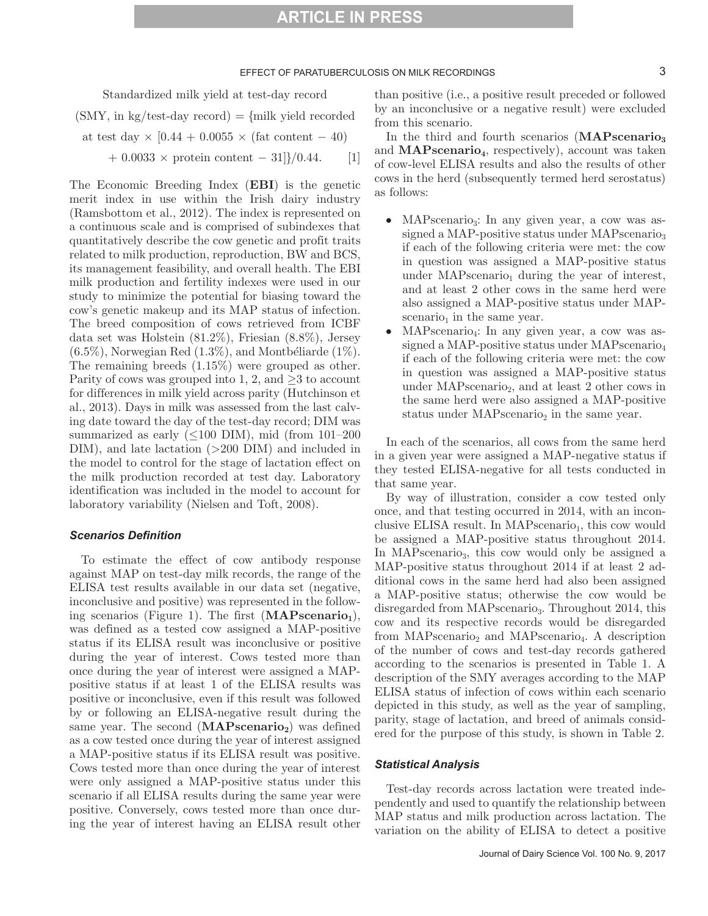#### EFFECT OF PARATUBERCULOSIS ON MILK RECORDINGS 3

### Standardized milk yield at test-day record

(SMY, in kg/test-day record) = {milk yield recorded  
at test day 
$$
\times
$$
 [0.44 + 0.0055  $\times$  (fat content – 40)

$$
+ 0.0033 \times
$$
 protein content  $- 31$ ]/0.44. [1]

The Economic Breeding Index (**EBI**) is the genetic merit index in use within the Irish dairy industry (Ramsbottom et al., 2012). The index is represented on a continuous scale and is comprised of subindexes that quantitatively describe the cow genetic and profit traits related to milk production, reproduction, BW and BCS, its management feasibility, and overall health. The EBI milk production and fertility indexes were used in our study to minimize the potential for biasing toward the cow's genetic makeup and its MAP status of infection. The breed composition of cows retrieved from ICBF data set was Holstein (81.2%), Friesian (8.8%), Jersey  $(6.5\%)$ , Norwegian Red  $(1.3\%)$ , and Montbéliarde  $(1\%)$ . The remaining breeds (1.15%) were grouped as other. Parity of cows was grouped into 1, 2, and  $\geq$ 3 to account for differences in milk yield across parity (Hutchinson et al., 2013). Days in milk was assessed from the last calving date toward the day of the test-day record; DIM was summarized as early  $(\leq 100 \text{ DIM})$ , mid (from 101–200) DIM), and late lactation ( $>200$  DIM) and included in the model to control for the stage of lactation effect on the milk production recorded at test day. Laboratory identification was included in the model to account for laboratory variability (Nielsen and Toft, 2008).

### *Scenarios Definition*

To estimate the effect of cow antibody response against MAP on test-day milk records, the range of the ELISA test results available in our data set (negative, inconclusive and positive) was represented in the following scenarios (Figure 1). The first  $(MAP scenario<sub>1</sub>)$ , was defined as a tested cow assigned a MAP-positive status if its ELISA result was inconclusive or positive during the year of interest. Cows tested more than once during the year of interest were assigned a MAPpositive status if at least 1 of the ELISA results was positive or inconclusive, even if this result was followed by or following an ELISA-negative result during the same year. The second (**MAPscenario**<sub>2</sub>) was defined as a cow tested once during the year of interest assigned a MAP-positive status if its ELISA result was positive. Cows tested more than once during the year of interest were only assigned a MAP-positive status under this scenario if all ELISA results during the same year were positive. Conversely, cows tested more than once during the year of interest having an ELISA result other than positive (i.e., a positive result preceded or followed by an inconclusive or a negative result) were excluded from this scenario.

In the third and fourth scenarios (**MAPscenario**<sub>3</sub> and **MAPscenario**<sub>4</sub>, respectively), account was taken of cow-level ELISA results and also the results of other cows in the herd (subsequently termed herd serostatus) as follows:

- MAPscenario<sub>3</sub>: In any given year, a cow was assigned a MAP-positive status under MAP scenario<sub>3</sub> if each of the following criteria were met: the cow in question was assigned a MAP-positive status under MAPscenario<sub>1</sub> during the year of interest, and at least 2 other cows in the same herd were also assigned a MAP-positive status under MAPscenario<sub>1</sub> in the same year.
- MAPscenario<sub>4</sub>: In any given year, a cow was assigned a MAP-positive status under MAPscenario<sub>4</sub> if each of the following criteria were met: the cow in question was assigned a MAP-positive status under MAPscenario<sub>2</sub>, and at least 2 other cows in the same herd were also assigned a MAP-positive status under  $MAPscenario<sub>2</sub>$  in the same year.

In each of the scenarios, all cows from the same herd in a given year were assigned a MAP-negative status if they tested ELISA-negative for all tests conducted in that same year.

By way of illustration, consider a cow tested only once, and that testing occurred in 2014, with an inconclusive ELISA result. In MAPscenario<sub>1</sub>, this cow would be assigned a MAP-positive status throughout 2014. In MAPscenario<sub>3</sub>, this cow would only be assigned a MAP-positive status throughout 2014 if at least 2 additional cows in the same herd had also been assigned a MAP-positive status; otherwise the cow would be disregarded from MAPscenario<sub>3</sub>. Throughout 2014, this cow and its respective records would be disregarded from  $MAPscenario<sub>2</sub>$  and  $MAPScenario<sub>4</sub>$ . A description of the number of cows and test-day records gathered according to the scenarios is presented in Table 1. A description of the SMY averages according to the MAP ELISA status of infection of cows within each scenario depicted in this study, as well as the year of sampling, parity, stage of lactation, and breed of animals considered for the purpose of this study, is shown in Table 2.

#### *Statistical Analysis*

Test-day records across lactation were treated independently and used to quantify the relationship between MAP status and milk production across lactation. The variation on the ability of ELISA to detect a positive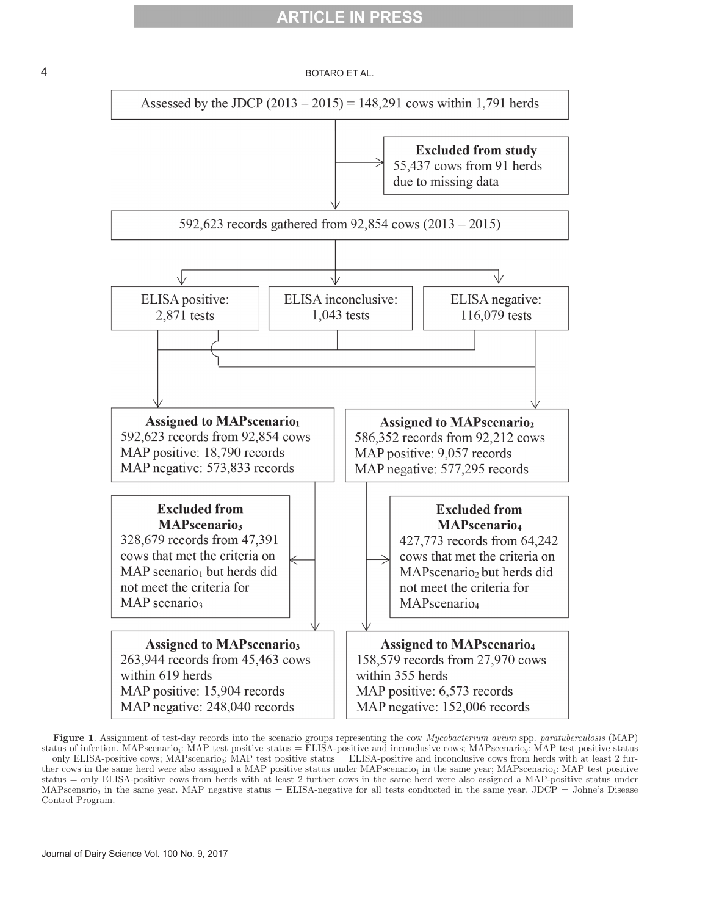



**Figure 1**. Assignment of test-day records into the scenario groups representing the cow *Mycobacterium avium* spp. *paratuberculosis* (MAP) status of infection. MAP scenario<sub>1</sub>: MAP test positive status  $=$  ELISA-positive and inconclusive cows; MAP scenario<sub>2</sub>: MAP test positive status = only ELISA-positive cows; MAP scenario<sub>3</sub>: MAP test positive status = ELISA-positive and inconclusive cows from herds with at least 2 further cows in the same herd were also assigned a MAP positive status under MAPscenario<sub>1</sub> in the same year; MAPscenario<sub>4</sub>: MAP test positive status = only ELISA-positive cows from herds with at least 2 further cows in the same herd were also assigned a MAP-positive status under  $MAP scenario<sub>2</sub>$  in the same year. MAP negative status = ELISA-negative for all tests conducted in the same year. JDCP = Johne's Disease Control Program.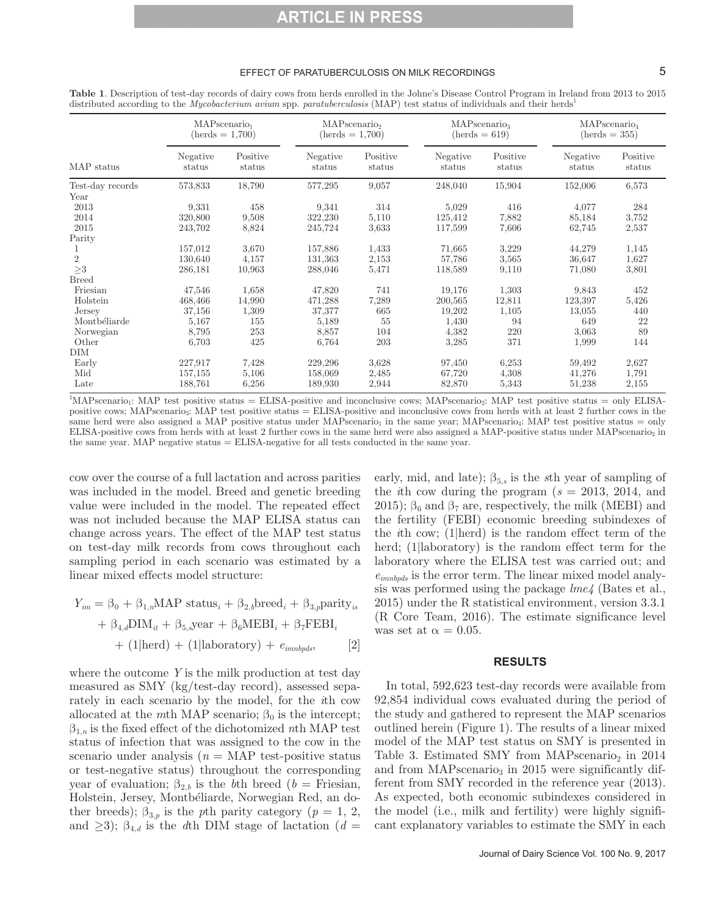#### EFFECT OF PARATUBERCULOSIS ON MILK RECORDINGS **5** 5

|                  | $MAPscenario_1$<br>$(herds = 1.700)$ |                    |                    | MAPscenario,<br>$(herds = 1,700)$ |                    | MAPscenario <sub>3</sub><br>$(herds = 619)$ |                    | $MAPscenario_4$<br>$(herds = 355)$ |  |
|------------------|--------------------------------------|--------------------|--------------------|-----------------------------------|--------------------|---------------------------------------------|--------------------|------------------------------------|--|
| MAP status       | Negative<br>status                   | Positive<br>status | Negative<br>status | Positive<br>status                | Negative<br>status | Positive<br>status                          | Negative<br>status | Positive<br>status                 |  |
| Test-day records | 573,833                              | 18,790             | 577,295            | 9,057                             | 248,040            | 15,904                                      | 152,006            | 6,573                              |  |
| Year             |                                      |                    |                    |                                   |                    |                                             |                    |                                    |  |
| 2013             | 9,331                                | 458                | 9,341              | 314                               | 5,029              | 416                                         | 4,077              | 284                                |  |
| 2014             | 320,800                              | 9,508              | 322,230            | 5,110                             | 125,412            | 7,882                                       | 85,184             | 3,752                              |  |
| 2015             | 243,702                              | 8,824              | 245,724            | 3,633                             | 117,599            | 7,606                                       | 62,745             | 2,537                              |  |
| Parity           |                                      |                    |                    |                                   |                    |                                             |                    |                                    |  |
| 1                | 157,012                              | 3,670              | 157,886            | 1,433                             | 71,665             | 3,229                                       | 44,279             | 1,145                              |  |
| $\overline{2}$   | 130,640                              | 4,157              | 131,363            | 2,153                             | 57,786             | 3,565                                       | 36,647             | 1,627                              |  |
| >3               | 286,181                              | 10,963             | 288,046            | 5,471                             | 118,589            | 9,110                                       | 71,080             | 3,801                              |  |
| <b>Breed</b>     |                                      |                    |                    |                                   |                    |                                             |                    |                                    |  |
| Friesian         | 47,546                               | 1,658              | 47,820             | 741                               | 19,176             | 1,303                                       | 9,843              | 452                                |  |
| Holstein         | 468,466                              | 14,990             | 471,288            | 7,289                             | 200,565            | 12,811                                      | 123,397            | 5,426                              |  |
| Jersey           | 37,156                               | 1,309              | 37,377             | 665                               | 19,202             | 1,105                                       | 13,055             | 440                                |  |
| Montbéliarde     | 5,167                                | 155                | 5,189              | 55                                | 1,430              | 94                                          | 649                | 22                                 |  |
| Norwegian        | 8,795                                | 253                | 8,857              | 104                               | 4,382              | 220                                         | 3,063              | 89                                 |  |
| Other            | 6,703                                | 425                | 6,764              | 203                               | 3,285              | 371                                         | 1,999              | 144                                |  |
| DІМ              |                                      |                    |                    |                                   |                    |                                             |                    |                                    |  |
|                  |                                      |                    |                    |                                   |                    |                                             |                    |                                    |  |
| Early            | 227,917                              | 7,428              | 229,296            | 3,628                             | 97,450             | 6,253                                       | 59,492             | 2,627                              |  |
| Mid              | 157,155                              | 5,106              | 158,069            | 2,485                             | 67,720             | 4,308                                       | 41,276             | 1,791                              |  |
| Late             | 188,761                              | 6,256              | 189,930            | 2,944                             | 82,870             | 5,343                                       | 51,238             | 2,155                              |  |

**Table 1**. Description of test-day records of dairy cows from herds enrolled in the Johne's Disease Control Program in Ireland from 2013 to 2015 distributed according to the *Mycobacterium avium* spp. *paratuberculosis* (MAP) test status of individuals and their herds<sup>1</sup>

<sup>1</sup>MAPscenario<sub>1</sub>: MAP test positive status = ELISA-positive and inconclusive cows; MAPscenario<sub>2</sub>: MAP test positive status = only ELISApositive cows; MAPscenario<sub>3</sub>: MAP test positive status = ELISA-positive and inconclusive cows from herds with at least 2 further cows in the same herd were also assigned a MAP positive status under MAPscenario<sub>1</sub> in the same year; MAPscenario<sub>4</sub>: MAP test positive status = only ELISA-positive cows from herds with at least 2 further cows in the same herd were also assigned a MAP-positive status under MAPscenario<sub>2</sub> in the same year. MAP negative status = ELISA-negative for all tests conducted in the same year.

cow over the course of a full lactation and across parities was included in the model. Breed and genetic breeding value were included in the model. The repeated effect was not included because the MAP ELISA status can change across years. The effect of the MAP test status on test-day milk records from cows throughout each sampling period in each scenario was estimated by a linear mixed effects model structure:

$$
Y_{im} = \beta_0 + \beta_{1,n} \text{MAP status}_i + \beta_{2,b} \text{breed}_i + \beta_{3,p} \text{parity}_i
$$

$$
+ \beta_{4,d} \text{DIM}_{it} + \beta_{5,s} \text{year} + \beta_6 \text{MEDI}_i + \beta_7 \text{FEBI}_i
$$

$$
+ (1|\text{herd}) + (1|\text{laboratory}) + e_{imnbyds}, \qquad [2]
$$

where the outcome *Y* is the milk production at test day measured as SMY (kg/test-day record), assessed separately in each scenario by the model, for the *i*th cow allocated at the *m*th MAP scenario;  $\beta_0$  is the intercept;  $\beta_{1,n}$  is the fixed effect of the dichotomized *n*th MAP test status of infection that was assigned to the cow in the scenario under analysis ( $n = \text{MAP}$  test-positive status or test-negative status) throughout the corresponding year of evaluation;  $\beta_{2,b}$  is the *b*th breed (*b* = Friesian, Holstein, Jersey, Montbéliarde, Norwegian Red, an dother breeds);  $\beta_{3,p}$  is the *p*th parity category (*p* = 1, 2, and  $\geq$ 3);  $\beta_{4,d}$  is the *d*th DIM stage of lactation (*d* = early, mid, and late);  $\beta_{5,s}$  is the *s*th year of sampling of the *i*th cow during the program  $(s = 2013, 2014, \text{ and})$ 2015);  $\beta_6$  and  $\beta_7$  are, respectively, the milk (MEBI) and the fertility (FEBI) economic breeding subindexes of the *i*th cow; (1|herd) is the random effect term of the herd; (1|laboratory) is the random effect term for the laboratory where the ELISA test was carried out; and *eimnbpds* is the error term. The linear mixed model analysis was performed using the package *lme4* (Bates et al., 2015) under the R statistical environment, version 3.3.1 (R Core Team, 2016). The estimate significance level was set at  $\alpha = 0.05$ .

#### **RESULTS**

In total, 592,623 test-day records were available from 92,854 individual cows evaluated during the period of the study and gathered to represent the MAP scenarios outlined herein (Figure 1). The results of a linear mixed model of the MAP test status on SMY is presented in Table 3. Estimated SMY from MAPscenario<sub>2</sub> in 2014 and from  $MAPscenario<sub>3</sub>$  in 2015 were significantly different from SMY recorded in the reference year (2013). As expected, both economic subindexes considered in the model (i.e., milk and fertility) were highly significant explanatory variables to estimate the SMY in each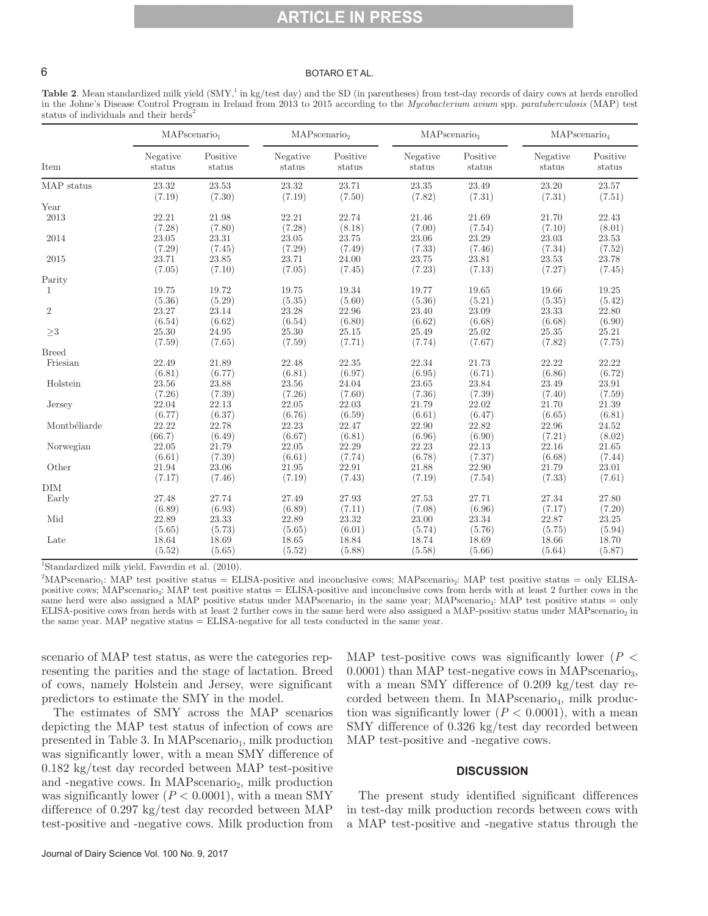### 6 BOTARO ET AL.

**Table 2**. Mean standardized milk yield (SMY,<sup>1</sup> in kg/test day) and the SD (in parentheses) from test-day records of dairy cows at herds enrolled in the Johne's Disease Control Program in Ireland from 2013 to 2015 according to the *Mycobacterium avium* spp. *paratuberculosis* (MAP) test status of individuals and their herds<sup>2</sup>

|                |                           | MAP scenario <sub>1</sub> |                           | MAPscenario,              |                           | MAPscenario <sub>3</sub>  |                           | MAP scenario <sub>A</sub> |  |
|----------------|---------------------------|---------------------------|---------------------------|---------------------------|---------------------------|---------------------------|---------------------------|---------------------------|--|
| Item           | Negative                  | Positive                  | Negative                  | Positive                  | Negative                  | Positive                  | Negative                  | Positive                  |  |
|                | status                    | status                    | status                    | status                    | status                    | $_\mathrm{status}$        | status                    | status                    |  |
| MAP status     | 23.32                     | 23.53                     | 23.32                     | 23.71                     | 23.35                     | 23.49                     | 23.20                     | 23.57                     |  |
|                | (7.19)                    | (7.30)                    | (7.19)                    | (7.50)                    | (7.82)                    | (7.31)                    | (7.31)                    | (7.51)                    |  |
| Year           |                           |                           |                           |                           |                           |                           |                           |                           |  |
| 2013           | 22.21                     | 21.98                     | 22.21                     | 22.74                     | 21.46                     | 21.69                     | 21.70                     | 22.43                     |  |
|                | (7.28)                    | (7.80)                    | (7.28)                    | (8.18)                    | (7.00)                    | (7.54)                    | (7.10)                    | (8.01)                    |  |
| 2014           | 23.05                     | 23.31                     | 23.05                     | 23.75                     | 23.06                     | 23.29                     | 23.03                     | 23.53                     |  |
|                | (7.29)                    | (7.45)                    | (7.29)                    | (7.49)                    | (7.33)                    | (7.46)                    | (7.34)                    | (7.52)                    |  |
| 2015           | 23.71                     | 23.85                     | 23.71                     | 24.00                     | 23.75                     | 23.81                     | 23.53                     | 23.78                     |  |
|                | (7.05)                    | (7.10)                    | (7.05)                    | (7.45)                    | (7.23)                    | (7.13)                    | (7.27)                    | (7.45)                    |  |
| Parity         |                           |                           |                           |                           |                           |                           |                           |                           |  |
| -1             | 19.75                     | 19.72                     | 19.75                     | 19.34                     | 19.77                     | 19.65                     | 19.66                     | 19.25                     |  |
|                | (5.36)                    | (5.29)                    | (5.35)                    | (5.60)                    | (5.36)                    | (5.21)                    | (5.35)                    | (5.42)                    |  |
| $\overline{2}$ | 23.27                     | 23.14                     | 23.28                     | 22.96                     | 23.40                     | 23.09                     | 23.33                     | 22.80                     |  |
|                | (6.54)                    | (6.62)                    | (6.54)                    | (6.80)                    | (6.62)                    | (6.68)                    | (6.68)                    | (6.90)                    |  |
| ${\geq}3$      | 25.30                     | 24.95                     | 25.30                     | 25.15                     | 25.49                     | 25.02                     | 25.35                     | 25.21                     |  |
|                | (7.59)                    | (7.65)                    | (7.59)                    | (7.71)                    | (7.74)                    | (7.67)                    | (7.82)                    | (7.75)                    |  |
| <b>Breed</b>   |                           |                           |                           |                           |                           |                           |                           |                           |  |
| Friesian       | 22.49                     | 21.89                     | 22.48                     | 22.35                     | 22.34                     | 21.73                     | 22.22                     | 22.22                     |  |
| Holstein       | (6.81)                    | (6.77)                    | (6.81)                    | (6.97)                    | (6.95)                    | (6.71)                    | (6.86)                    | (6.72)                    |  |
|                | 23.56                     | 23.88                     | 23.56                     | 24.04                     | 23.65                     | 23.84                     | 23.49                     | 23.91                     |  |
| Jersey         | (7.26)<br>22.04<br>(6.77) | (7.39)<br>22.13<br>(6.37) | (7.26)<br>22.05<br>(6.76) | (7.60)<br>22.03           | (7.36)<br>21.79<br>(6.61) | (7.39)<br>22.02           | (7.40)<br>21.70<br>(6.65) | (7.59)<br>21.39           |  |
| Montbéliarde   | 22.22<br>(66.7)           | 22.78<br>(6.49)           | 22.23<br>(6.67)           | (6.59)<br>22.47<br>(6.81) | 22.90<br>(6.96)           | (6.47)<br>22.82<br>(6.90) | 22.96<br>(7.21)           | (6.81)<br>24.52<br>(8.02) |  |
| Norwegian      | 22.05                     | 21.79                     | 22.05                     | 22.29                     | 22.23                     | 22.13                     | 22.16                     | 21.65                     |  |
|                | (6.61)                    | (7.39)                    | (6.61)                    | (7.74)                    | (6.78)                    | (7.37)                    | (6.68)                    | (7.44)                    |  |
| Other          | 21.94                     | 23.06                     | 21.95                     | 22.91                     | 21.88                     | 22.90                     | 21.79                     | 23.01                     |  |
|                | (7.17)                    | (7.46)                    | (7.19)                    | (7.43)                    | (7.19)                    | (7.54)                    | (7.33)                    | (7.61)                    |  |
| DIM            |                           |                           |                           |                           |                           |                           |                           |                           |  |
| Early          | 27.48                     | 27.74                     | 27.49                     | 27.93                     | 27.53                     | 27.71                     | 27.34                     | 27.80                     |  |
| Mid            | (6.89)                    | (6.93)                    | (6.89)                    | (7.11)                    | (7.08)                    | (6.96)                    | (7.17)                    | (7.20)                    |  |
|                | 22.89                     | 23.33                     | 22.89                     | 23.32                     | 23.00                     | 23.34                     | 22.87                     | 23.25                     |  |
| Late           | (5.65)                    | (5.73)                    | (5.65)                    | (6.01)                    | (5.74)                    | (5.76)                    | (5.75)                    | (5.94)                    |  |
|                | 18.64                     | 18.69                     | 18.65                     | 18.84                     | 18.74                     | 18.69                     | 18.66                     | 18.70                     |  |
|                | (5.52)                    | (5.65)                    | (5.52)                    | (5.88)                    | (5.58)                    | (5.66)                    | (5.64)                    | (5.87)                    |  |

1 Standardized milk yield, Faverdin et al. (2010).

 ${}^{2}$ MAPscenario<sub>1</sub>: MAP test positive status = ELISA-positive and inconclusive cows; MAPscenario<sub>2</sub>: MAP test positive status = only ELISApositive cows; MAPscenario<sub>3</sub>: MAP test positive status = ELISA-positive and inconclusive cows from herds with at least 2 further cows in the same herd were also assigned a MAP positive status under MAPscenario<sub>1</sub> in the same year; MAP scenario<sub>4</sub>: MAP test positive status = only ELISA-positive cows from herds with at least 2 further cows in the same herd were also assigned a MAP-positive status under MAPscenario<sub>2</sub> in the same year. MAP negative status = ELISA-negative for all tests conducted in the same year.

scenario of MAP test status, as were the categories representing the parities and the stage of lactation. Breed of cows, namely Holstein and Jersey, were significant predictors to estimate the SMY in the model.

The estimates of SMY across the MAP scenarios depicting the MAP test status of infection of cows are presented in Table 3. In MAPscenario<sub>1</sub>, milk production was significantly lower, with a mean SMY difference of 0.182 kg/test day recorded between MAP test-positive and -negative cows. In MAPscenario<sub>2</sub>, milk production was significantly lower  $(P < 0.0001)$ , with a mean SMY difference of 0.297 kg/test day recorded between MAP test-positive and -negative cows. Milk production from

MAP test-positive cows was significantly lower (*P* <  $(0.0001)$  than MAP test-negative cows in MAP scenario<sub>3</sub>, with a mean SMY difference of 0.209 kg/test day re- $\alpha$  corded between them. In MAPscenario<sub>4</sub>, milk production was significantly lower  $(P < 0.0001)$ , with a mean SMY difference of 0.326 kg/test day recorded between MAP test-positive and -negative cows.

#### **DISCUSSION**

The present study identified significant differences in test-day milk production records between cows with a MAP test-positive and -negative status through the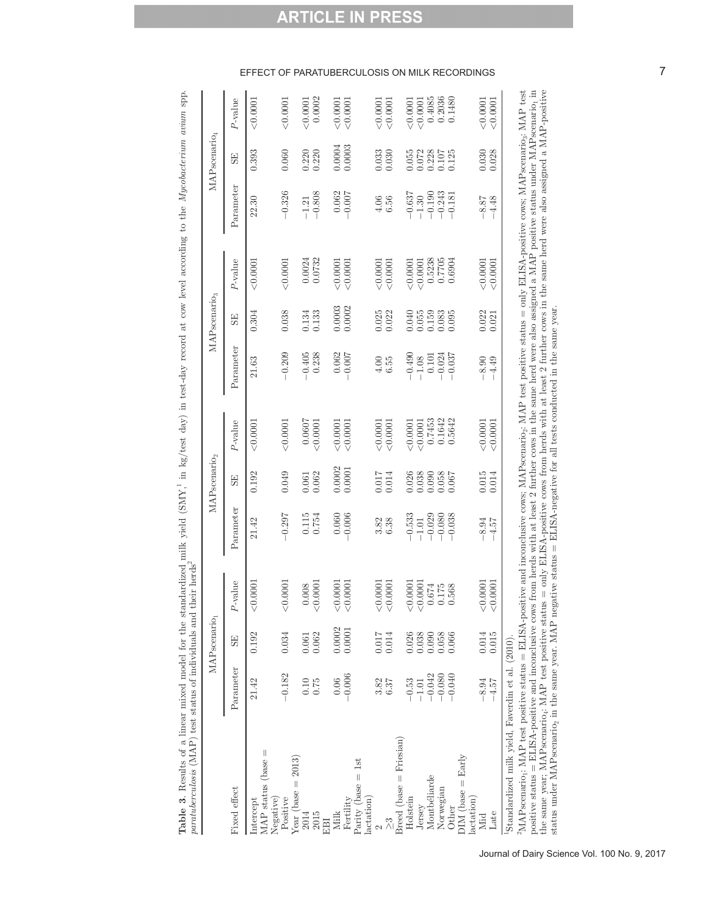### EFFECT OF PARATUBERCULOSIS ON MILK RECORDINGS **7**

|                                                                                                                                                                                                                                                                                                                                                                                                                                                                                                                                                                                                                                                                                                                                                                                      |                                | MAPscenario <sub>1</sub> |                               |                                 | MAPscenario,            |                                |                              | MAPscenario <sub>3</sub> |                                |                                 | $MAP$ scenario <sub>4</sub> |                                |
|--------------------------------------------------------------------------------------------------------------------------------------------------------------------------------------------------------------------------------------------------------------------------------------------------------------------------------------------------------------------------------------------------------------------------------------------------------------------------------------------------------------------------------------------------------------------------------------------------------------------------------------------------------------------------------------------------------------------------------------------------------------------------------------|--------------------------------|--------------------------|-------------------------------|---------------------------------|-------------------------|--------------------------------|------------------------------|--------------------------|--------------------------------|---------------------------------|-----------------------------|--------------------------------|
| Fixed effect                                                                                                                                                                                                                                                                                                                                                                                                                                                                                                                                                                                                                                                                                                                                                                         | Parameter                      | SE                       | $P$ -value                    | Parameter                       | SE                      | $P$ -value                     | Parameter                    | SE                       | $P$ -value                     | Parameter                       | SE                          | $P$ -value                     |
| MAP status (base $=$<br>Intercept                                                                                                                                                                                                                                                                                                                                                                                                                                                                                                                                                                                                                                                                                                                                                    | 21.42                          | 0.192                    | < 0.0001                      | 21.42                           | 0.192                   | < 0.0001                       | 21.63                        | 0.304                    | < 0.0001                       | 22.30                           | 0.393                       | < 0.0001                       |
| Year (base $= 2013$ )<br>Negative)<br>Positive                                                                                                                                                                                                                                                                                                                                                                                                                                                                                                                                                                                                                                                                                                                                       | $-0.182$                       | 0.034                    | < 0.0001                      | $-0.297$                        | 0.049                   | < 0.0001                       | $-0.209$                     | 0.038                    | < 0.0001                       | $-0.326$                        | 0.060                       | < 0.0001                       |
| 2014<br>2015<br>EBI                                                                                                                                                                                                                                                                                                                                                                                                                                                                                                                                                                                                                                                                                                                                                                  | 0.75<br>0.10                   | 0.062<br>0.061           | < 0.0001<br>0.008             | 0.115<br>0.754                  | 0.062<br>0.061          | 0.0607<br>< 0.0001             | $-0.405$<br>0.238            | 0.134<br>0.133           | 0.0732<br>0.0024               | $-0.808$<br>$-1.21$             | 0.220<br>0.220              | 0.0002<br>$<\!0.0001$          |
| Parity (base $= 1st$<br>Fertility<br>Milk                                                                                                                                                                                                                                                                                                                                                                                                                                                                                                                                                                                                                                                                                                                                            | $-0.006$<br>0.06               | 0.0002<br>0.0001         | < 0.0001<br>< 0.0001          | 0.060<br>$-0.006$               | 0.0002<br>0.0001        | < 0.0001<br>< 0.0001           | 0.062<br>$-0.007$            | 0.0003<br>0.0002         | < 0.0001<br>< 0.0001           | $-0.007$<br>0.062               | $0.0004\,$<br>0.0003        | < 0.0001<br>< 0.0001           |
| $Breed$ (base $=$ Friesian)<br>lactation)                                                                                                                                                                                                                                                                                                                                                                                                                                                                                                                                                                                                                                                                                                                                            | 3.82<br>6.37                   | 0.017<br>0.014           | < 0.0001<br>< 0.0001          | 3.82<br>6.38                    | 0.017<br>0.014          | < 0.0001<br>< 0.0001           | 4.00<br>6.55                 | 0.025<br>0.022           | < 0.0001<br>< 0.0001           | 4.06<br>6.56                    | 0.033<br>0.030              | < 0.0001<br>< 0.0001           |
| Montbéliarde<br>Holstein<br>Jersey                                                                                                                                                                                                                                                                                                                                                                                                                                                                                                                                                                                                                                                                                                                                                   | $-0.042$<br>$-0.53$<br>$-1.01$ | 0.026<br>0.038<br>0.090  | < 0.0001<br>< 0.0001<br>0.674 | $-0.533$<br>$-0.029$<br>$-1.01$ | 0.026<br>0.038<br>0.090 | 0.7453<br>< 0.0001<br>< 0.0001 | $-0.490$<br>0.101<br>$-1.08$ | 0.040<br>0.055<br>0.159  | 0.5238<br>< 0.0001<br>< 0.0001 | $-0.637$<br>$-0.190$<br>$-1.30$ | 0.055<br>0.072              | 0.4085<br>< 0.0001<br>< 0.0001 |
| $DIM$ (base = Early<br>Norwegian<br>Other                                                                                                                                                                                                                                                                                                                                                                                                                                                                                                                                                                                                                                                                                                                                            | $-0.080$<br>$-0.040$           | 0.058<br>0.066           | 0.175<br>0.568                | $-0.038$<br>$-0.080$            | 0.058<br>0.067          | 0.1642<br>0.5642               | $-0.037$<br>$-0.024$         | 0.083<br>0.095           | 0.7705<br>0.6904               | $-0.243$<br>$-0.181$            | $0.228$<br>$0.107$<br>0.125 | 0.2036<br>0.1480               |
| lactation<br>Late<br>Mid                                                                                                                                                                                                                                                                                                                                                                                                                                                                                                                                                                                                                                                                                                                                                             | $-8.94$<br>$-4.57$             | 0.014<br>0.015           | < 0.0001<br>< 0.0001          | $-8.94$<br>$-4.57$              | 0.015<br>0.014          | < 0.0001<br>< 0.0001           | $-8.90$<br>$-4.49$           | 0.022<br>0.021           | < 0.0001<br>< 0.0001           | $-4.48$<br>$-8.87$              | 0.028<br>0.030              | < 0.0001<br>< 0.0001           |
| positive status = ELISA-positive and inconclusive cows from herds with at least 2 further cows in the same herd were also assigned a MAP positive status under MAP scenario, in<br>the same year; MAPscenario <sub>i</sub> : MAP test positive status = only ELISA-positive cows from herds with at least 2 further cows in the same herd were also assigned a MAP-positive<br>"MAP scenario <sub>1</sub> : MAP test positive status = ELISA-positive and inconclusive cows; MAP scenario <sub>3</sub> : MAP test positive status = only ELISA-positive cows; MAP scenario <sub>3</sub> : MAP test<br>status under MAPscenario, in the same year. MAP negative status = ELISA-negative for all tests conducted in the same year<br>"Standardized milk yield, Faverdin et al. (2010). |                                |                          |                               |                                 |                         |                                |                              |                          |                                |                                 |                             |                                |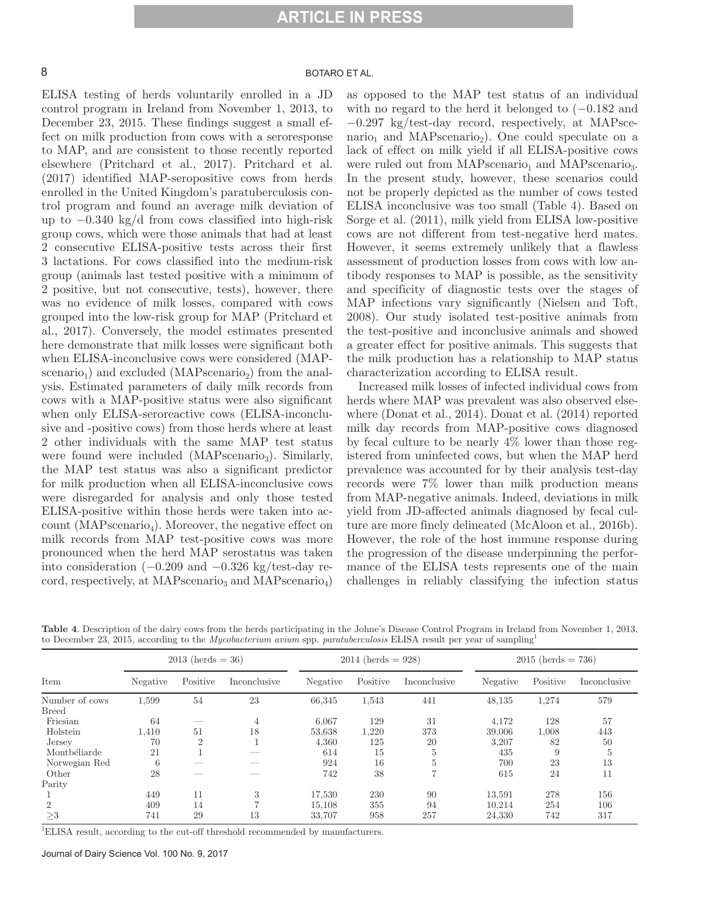### 8

ELISA testing of herds voluntarily enrolled in a JD control program in Ireland from November 1, 2013, to December 23, 2015. These findings suggest a small effect on milk production from cows with a seroresponse to MAP, and are consistent to those recently reported elsewhere (Pritchard et al., 2017). Pritchard et al. (2017) identified MAP-seropositive cows from herds enrolled in the United Kingdom's paratuberculosis control program and found an average milk deviation of up to −0.340 kg/d from cows classified into high-risk group cows, which were those animals that had at least 2 consecutive ELISA-positive tests across their first 3 lactations. For cows classified into the medium-risk group (animals last tested positive with a minimum of 2 positive, but not consecutive, tests), however, there was no evidence of milk losses, compared with cows grouped into the low-risk group for MAP (Pritchard et al., 2017). Conversely, the model estimates presented here demonstrate that milk losses were significant both when ELISA-inconclusive cows were considered (MAPscenario<sub>1</sub>) and excluded (MAPscenario<sub>2</sub>) from the analysis. Estimated parameters of daily milk records from cows with a MAP-positive status were also significant when only ELISA-seroreactive cows (ELISA-inconclusive and -positive cows) from those herds where at least 2 other individuals with the same MAP test status were found were included  $(MAP scenario<sub>3</sub>)$ . Similarly, the MAP test status was also a significant predictor for milk production when all ELISA-inconclusive cows were disregarded for analysis and only those tested ELISA-positive within those herds were taken into account (MAPscenario<sub>4</sub>). Moreover, the negative effect on milk records from MAP test-positive cows was more pronounced when the herd MAP serostatus was taken into consideration  $(-0.209 \text{ and } -0.326 \text{ kg}/\text{test-day re-}$ cord, respectively, at  $MAPs$ cenario<sub>3</sub> and  $MAPs$ cenario<sub>4</sub>)

as opposed to the MAP test status of an individual with no regard to the herd it belonged to  $(-0.182$  and −0.297 kg/test-day record, respectively, at MAPscenario<sub>1</sub> and MAPscenario<sub>2</sub>). One could speculate on a lack of effect on milk yield if all ELISA-positive cows were ruled out from MAPscenario<sub>1</sub> and MAPscenario<sub>3</sub>. In the present study, however, these scenarios could not be properly depicted as the number of cows tested ELISA inconclusive was too small (Table 4). Based on Sorge et al. (2011), milk yield from ELISA low-positive cows are not different from test-negative herd mates. However, it seems extremely unlikely that a flawless assessment of production losses from cows with low antibody responses to MAP is possible, as the sensitivity and specificity of diagnostic tests over the stages of MAP infections vary significantly (Nielsen and Toft, 2008). Our study isolated test-positive animals from the test-positive and inconclusive animals and showed a greater effect for positive animals. This suggests that the milk production has a relationship to MAP status characterization according to ELISA result.

Increased milk losses of infected individual cows from herds where MAP was prevalent was also observed elsewhere (Donat et al., 2014). Donat et al. (2014) reported milk day records from MAP-positive cows diagnosed by fecal culture to be nearly 4% lower than those registered from uninfected cows, but when the MAP herd prevalence was accounted for by their analysis test-day records were 7% lower than milk production means from MAP-negative animals. Indeed, deviations in milk yield from JD-affected animals diagnosed by fecal culture are more finely delineated (McAloon et al., 2016b). However, the role of the host immune response during the progression of the disease underpinning the performance of the ELISA tests represents one of the main challenges in reliably classifying the infection status

|                         | $2013$ (herds = 36) |                |              | $2014$ (herds = 928) |          |              | $2015$ (herds = 736) |          |              |
|-------------------------|---------------------|----------------|--------------|----------------------|----------|--------------|----------------------|----------|--------------|
| Item                    | Negative            | Positive       | Inconclusive | Negative             | Positive | Inconclusive | Negative             | Positive | Inconclusive |
| Number of cows<br>Breed | 1,599               | 54             | 23           | 66,345               | 1,543    | 441          | 48,135               | 1,274    | 579          |
| Friesian                | 64                  |                | 4            | 6,067                | 129      | 31           | 4,172                | 128      | 57           |
| Holstein                | 1,410               | 51             | 18           | 53.638               | 1,220    | 373          | 39,006               | 1,008    | 443          |
| Jersey                  | 70                  | $\overline{2}$ |              | 4,360                | 125      | 20           | 3,207                | 82       | 50           |
| Montbéliarde            | 21                  |                |              | 614                  | 15       |              | 435                  | 9        |              |
| Norwegian Red           | 6                   |                |              | 924                  | 16       | Ð            | 700                  | 23       | 13           |
| Other                   | 28                  |                |              | 742                  | 38       |              | 615                  | 24       |              |
| Parity                  |                     |                |              |                      |          |              |                      |          |              |
|                         | 449                 | 11             | 3            | 17.530               | 230      | 90           | 13,591               | 278      | 156          |
| $\overline{2}$          | 409                 | 14             |              | 15,108               | 355      | 94           | 10,214               | 254      | 106          |
| $\geq$ 3                | 741                 | 29             | 13           | 33,707               | 958      | 257          | 24,330               | 742      | 317          |

**Table 4**. Description of the dairy cows from the herds participating in the Johne's Disease Control Program in Ireland from November 1, 2013, to December 23, 2015, according to the *Mycobacterium avium* spp. *paratuberculosis* ELISA result per year of sampling1

1 ELISA result, according to the cut-off threshold recommended by manufacturers.

Journal of Dairy Science Vol. 100 No. 9, 2017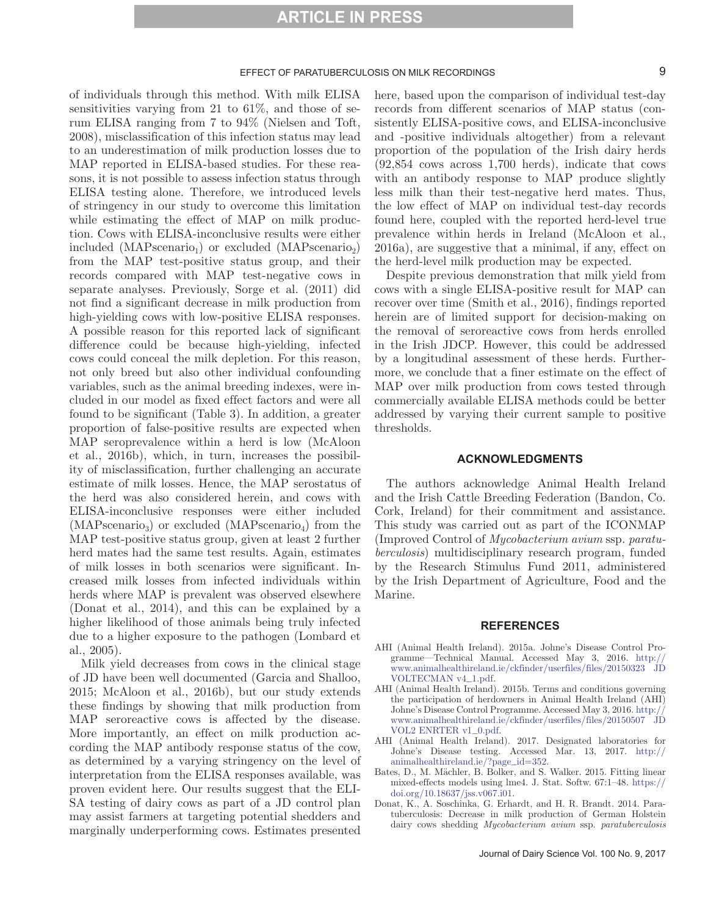#### EFFECT OF PARATUBERCULOSIS ON MILK RECORDINGS 9

of individuals through this method. With milk ELISA sensitivities varying from 21 to 61%, and those of serum ELISA ranging from 7 to 94% (Nielsen and Toft, 2008), misclassification of this infection status may lead to an underestimation of milk production losses due to MAP reported in ELISA-based studies. For these reasons, it is not possible to assess infection status through ELISA testing alone. Therefore, we introduced levels of stringency in our study to overcome this limitation while estimating the effect of MAP on milk production. Cows with ELISA-inconclusive results were either included  $(MAPscenario<sub>1</sub>)$  or excluded  $(MAPscenario<sub>2</sub>)$ from the MAP test-positive status group, and their records compared with MAP test-negative cows in separate analyses. Previously, Sorge et al. (2011) did not find a significant decrease in milk production from high-yielding cows with low-positive ELISA responses. A possible reason for this reported lack of significant difference could be because high-yielding, infected cows could conceal the milk depletion. For this reason, not only breed but also other individual confounding variables, such as the animal breeding indexes, were included in our model as fixed effect factors and were all found to be significant (Table 3). In addition, a greater proportion of false-positive results are expected when MAP seroprevalence within a herd is low (McAloon et al., 2016b), which, in turn, increases the possibility of misclassification, further challenging an accurate estimate of milk losses. Hence, the MAP serostatus of the herd was also considered herein, and cows with ELISA-inconclusive responses were either included  $(MAP scenario<sub>3</sub>)$  or excluded  $(MAP scenario<sub>4</sub>)$  from the MAP test-positive status group, given at least 2 further herd mates had the same test results. Again, estimates of milk losses in both scenarios were significant. Increased milk losses from infected individuals within herds where MAP is prevalent was observed elsewhere (Donat et al., 2014), and this can be explained by a higher likelihood of those animals being truly infected due to a higher exposure to the pathogen (Lombard et al., 2005).

Milk yield decreases from cows in the clinical stage of JD have been well documented (Garcia and Shalloo, 2015; McAloon et al., 2016b), but our study extends these findings by showing that milk production from MAP seroreactive cows is affected by the disease. More importantly, an effect on milk production according the MAP antibody response status of the cow, as determined by a varying stringency on the level of interpretation from the ELISA responses available, was proven evident here. Our results suggest that the ELI-SA testing of dairy cows as part of a JD control plan may assist farmers at targeting potential shedders and marginally underperforming cows. Estimates presented here, based upon the comparison of individual test-day records from different scenarios of MAP status (consistently ELISA-positive cows, and ELISA-inconclusive and -positive individuals altogether) from a relevant proportion of the population of the Irish dairy herds (92,854 cows across 1,700 herds), indicate that cows with an antibody response to MAP produce slightly less milk than their test-negative herd mates. Thus, the low effect of MAP on individual test-day records found here, coupled with the reported herd-level true prevalence within herds in Ireland (McAloon et al., 2016a), are suggestive that a minimal, if any, effect on the herd-level milk production may be expected.

Despite previous demonstration that milk yield from cows with a single ELISA-positive result for MAP can recover over time (Smith et al., 2016), findings reported herein are of limited support for decision-making on the removal of seroreactive cows from herds enrolled in the Irish JDCP. However, this could be addressed by a longitudinal assessment of these herds. Furthermore, we conclude that a finer estimate on the effect of MAP over milk production from cows tested through commercially available ELISA methods could be better addressed by varying their current sample to positive thresholds.

### **ACKNOWLEDGMENTS**

The authors acknowledge Animal Health Ireland and the Irish Cattle Breeding Federation (Bandon, Co. Cork, Ireland) for their commitment and assistance. This study was carried out as part of the ICONMAP (Improved Control of *Mycobacterium avium* ssp. *paratuberculosis*) multidisciplinary research program, funded by the Research Stimulus Fund 2011, administered by the Irish Department of Agriculture, Food and the Marine.

#### **REFERENCES**

- AHI (Animal Health Ireland). 2015a. Johne's Disease Control Programme—Technical Manual. Accessed May 3, 2016. [http://](http://www.animalhealthireland.ie/ckfinder/userfiles/files/20150323 JD VOLTECMAN v4_1.pdf) [www.animalhealthireland.ie/ckfinder/userfiles/files/20150323 JD](http://www.animalhealthireland.ie/ckfinder/userfiles/files/20150323 JD VOLTECMAN v4_1.pdf) [VOLTECMAN v4\\_1.pdf.](http://www.animalhealthireland.ie/ckfinder/userfiles/files/20150323 JD VOLTECMAN v4_1.pdf)
- AHI (Animal Health Ireland). 2015b. Terms and conditions governing the participation of herdowners in Animal Health Ireland (AHI) Johne's Disease Control Programme. Accessed May 3, 2016. [http://](http://www.animalhealthireland.ie/ckfinder/userfiles/files/20150507 JD VOL2 ENRTER v1_0.pdf) [www.animalhealthireland.ie/ckfinder/userfiles/files/20150507 JD](http://www.animalhealthireland.ie/ckfinder/userfiles/files/20150507 JD VOL2 ENRTER v1_0.pdf) [VOL2 ENRTER v1\\_0.pdf.](http://www.animalhealthireland.ie/ckfinder/userfiles/files/20150507 JD VOL2 ENRTER v1_0.pdf)
- AHI (Animal Health Ireland). 2017. Designated laboratories for Johne's Disease testing. Accessed Mar. 13, 2017. [http://](http://animalhealthireland.ie/?page_id=352) [animalhealthireland.ie/?page\\_id=352.](http://animalhealthireland.ie/?page_id=352)
- Bates, D., M. Mächler, B. Bolker, and S. Walker. 2015. Fitting linear mixed-effects models using lme4. J. Stat. Softw. 67:1–48. [https://](https://doi.org/10.18637/jss.v067.i01) [doi.org/10.18637/jss.v067.i01](https://doi.org/10.18637/jss.v067.i01).
- Donat, K., A. Soschinka, G. Erhardt, and H. R. Brandt. 2014. Paratuberculosis: Decrease in milk production of German Holstein dairy cows shedding *Mycobacterium avium* ssp. *paratuberculosis*